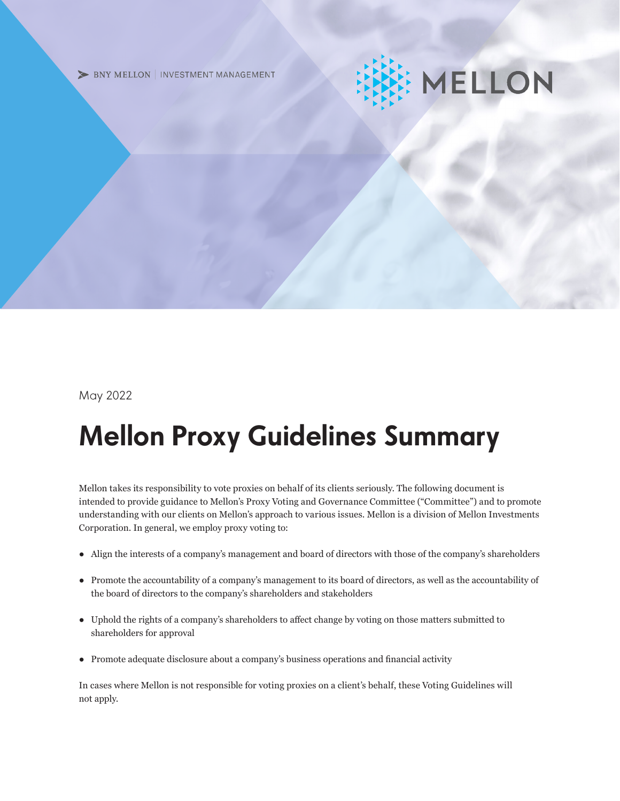> BNY MELLON | INVESTMENT MANAGEMENT

# MELLON

May 2022

## Mellon Proxy Guidelines Summary

Mellon takes its responsibility to vote proxies on behalf of its clients seriously. The following document is intended to provide guidance to Mellon's Proxy Voting and Governance Committee ("Committee") and to promote understanding with our clients on Mellon's approach to various issues. Mellon is a division of Mellon Investments Corporation. In general, we employ proxy voting to:

- Align the interests of a company's management and board of directors with those of the company's shareholders
- Promote the accountability of a company's management to its board of directors, as well as the accountability of the board of directors to the company's shareholders and stakeholders
- Uphold the rights of a company's shareholders to affect change by voting on those matters submitted to shareholders for approval
- Promote adequate disclosure about a company's business operations and financial activity

In cases where Mellon is not responsible for voting proxies on a client's behalf, these Voting Guidelines will not apply.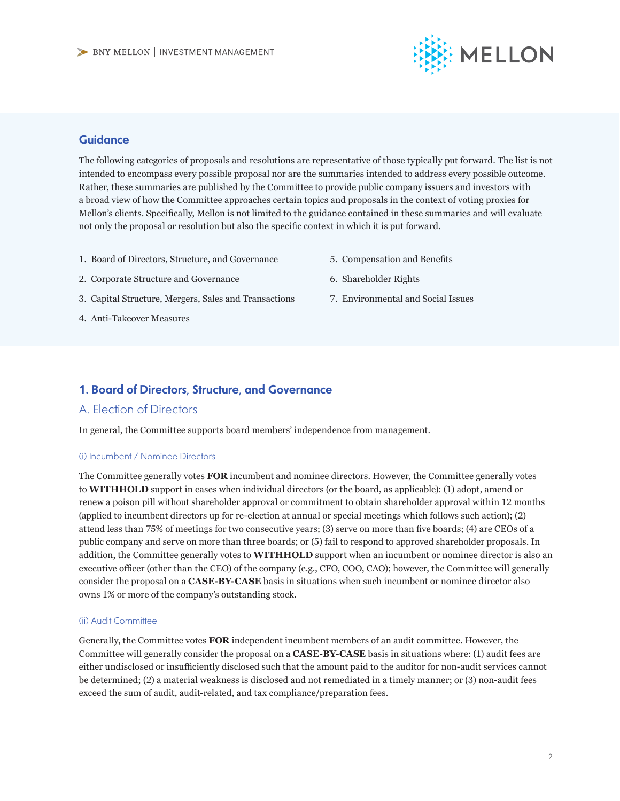

#### **Guidance**

The following categories of proposals and resolutions are representative of those typically put forward. The list is not intended to encompass every possible proposal nor are the summaries intended to address every possible outcome. Rather, these summaries are published by the Committee to provide public company issuers and investors with a broad view of how the Committee approaches certain topics and proposals in the context of voting proxies for Mellon's clients. Specifically, Mellon is not limited to the guidance contained in these summaries and will evaluate not only the proposal or resolution but also the specific context in which it is put forward.

- 1. Board of Directors, Structure, and Governance
- 5. Compensation and Benefits

- 2. Corporate Structure and Governance
- 6. Shareholder Rights
- 3. Capital Structure, Mergers, Sales and Transactions
- 4. Anti-Takeover Measures

7. Environmental and Social Issues

#### 1. Board of Directors, Structure, and Governance

#### A. Election of Directors

In general, the Committee supports board members' independence from management.

#### (i) Incumbent / Nominee Directors

The Committee generally votes **FOR** incumbent and nominee directors. However, the Committee generally votes to **WITHHOLD** support in cases when individual directors (or the board, as applicable): (1) adopt, amend or renew a poison pill without shareholder approval or commitment to obtain shareholder approval within 12 months (applied to incumbent directors up for re-election at annual or special meetings which follows such action); (2) attend less than 75% of meetings for two consecutive years; (3) serve on more than five boards; (4) are CEOs of a public company and serve on more than three boards; or (5) fail to respond to approved shareholder proposals. In addition, the Committee generally votes to **WITHHOLD** support when an incumbent or nominee director is also an executive officer (other than the CEO) of the company (e.g., CFO, COO, CAO); however, the Committee will generally consider the proposal on a **CASE-BY-CASE** basis in situations when such incumbent or nominee director also owns 1% or more of the company's outstanding stock.

#### (ii) Audit Committee

Generally, the Committee votes **FOR** independent incumbent members of an audit committee. However, the Committee will generally consider the proposal on a **CASE-BY-CASE** basis in situations where: (1) audit fees are either undisclosed or insufficiently disclosed such that the amount paid to the auditor for non-audit services cannot be determined; (2) a material weakness is disclosed and not remediated in a timely manner; or (3) non-audit fees exceed the sum of audit, audit-related, and tax compliance/preparation fees.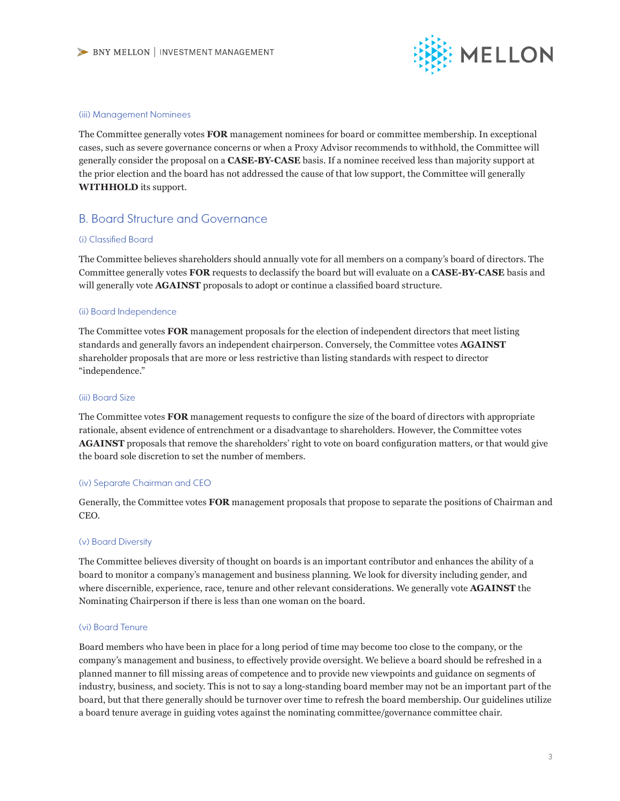

#### (iii) Management Nominees

The Committee generally votes **FOR** management nominees for board or committee membership. In exceptional cases, such as severe governance concerns or when a Proxy Advisor recommends to withhold, the Committee will generally consider the proposal on a **CASE-BY-CASE** basis. If a nominee received less than majority support at the prior election and the board has not addressed the cause of that low support, the Committee will generally **WITHHOLD** its support.

#### B. Board Structure and Governance

#### (i) Classified Board

The Committee believes shareholders should annually vote for all members on a company's board of directors. The Committee generally votes **FOR** requests to declassify the board but will evaluate on a **CASE-BY-CASE** basis and will generally vote **AGAINST** proposals to adopt or continue a classified board structure.

#### (ii) Board Independence

The Committee votes **FOR** management proposals for the election of independent directors that meet listing standards and generally favors an independent chairperson. Conversely, the Committee votes **AGAINST** shareholder proposals that are more or less restrictive than listing standards with respect to director "independence."

#### (iii) Board Size

The Committee votes **FOR** management requests to configure the size of the board of directors with appropriate rationale, absent evidence of entrenchment or a disadvantage to shareholders. However, the Committee votes **AGAINST** proposals that remove the shareholders' right to vote on board configuration matters, or that would give the board sole discretion to set the number of members.

#### (iv) Separate Chairman and CEO

Generally, the Committee votes **FOR** management proposals that propose to separate the positions of Chairman and CEO.

#### (v) Board Diversity

The Committee believes diversity of thought on boards is an important contributor and enhances the ability of a board to monitor a company's management and business planning. We look for diversity including gender, and where discernible, experience, race, tenure and other relevant considerations. We generally vote **AGAINST** the Nominating Chairperson if there is less than one woman on the board.

#### (vi) Board Tenure

Board members who have been in place for a long period of time may become too close to the company, or the company's management and business, to effectively provide oversight. We believe a board should be refreshed in a planned manner to fill missing areas of competence and to provide new viewpoints and guidance on segments of industry, business, and society. This is not to say a long-standing board member may not be an important part of the board, but that there generally should be turnover over time to refresh the board membership. Our guidelines utilize a board tenure average in guiding votes against the nominating committee/governance committee chair.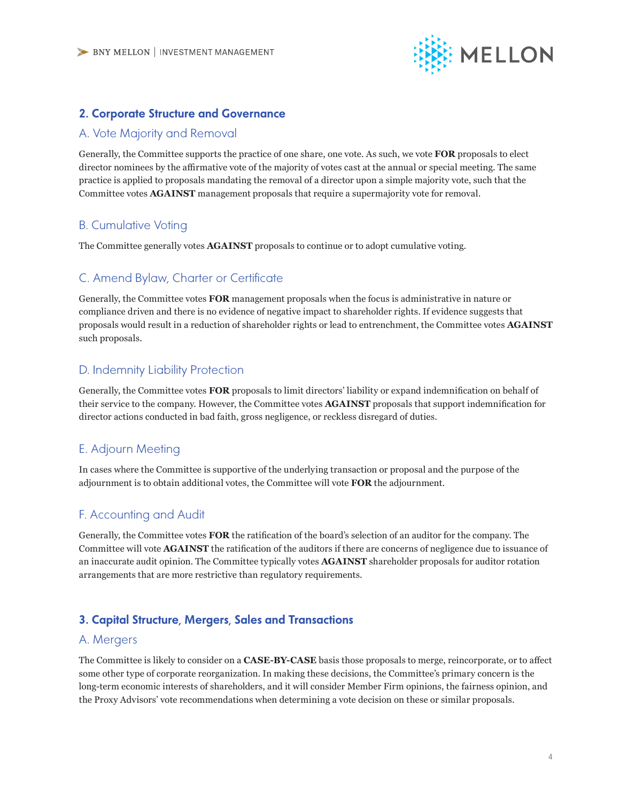

#### 2. Corporate Structure and Governance

#### A. Vote Majority and Removal

Generally, the Committee supports the practice of one share, one vote. As such, we vote **FOR** proposals to elect director nominees by the affirmative vote of the majority of votes cast at the annual or special meeting. The same practice is applied to proposals mandating the removal of a director upon a simple majority vote, such that the Committee votes **AGAINST** management proposals that require a supermajority vote for removal.

#### B. Cumulative Voting

The Committee generally votes **AGAINST** proposals to continue or to adopt cumulative voting.

#### C. Amend Bylaw, Charter or Certificate

Generally, the Committee votes **FOR** management proposals when the focus is administrative in nature or compliance driven and there is no evidence of negative impact to shareholder rights. If evidence suggests that proposals would result in a reduction of shareholder rights or lead to entrenchment, the Committee votes **AGAINST**  such proposals.

#### D. Indemnity Liability Protection

Generally, the Committee votes **FOR** proposals to limit directors' liability or expand indemnification on behalf of their service to the company. However, the Committee votes **AGAINST** proposals that support indemnification for director actions conducted in bad faith, gross negligence, or reckless disregard of duties.

#### E. Adjourn Meeting

In cases where the Committee is supportive of the underlying transaction or proposal and the purpose of the adjournment is to obtain additional votes, the Committee will vote **FOR** the adjournment.

#### F. Accounting and Audit

Generally, the Committee votes **FOR** the ratification of the board's selection of an auditor for the company. The Committee will vote **AGAINST** the ratification of the auditors if there are concerns of negligence due to issuance of an inaccurate audit opinion. The Committee typically votes **AGAINST** shareholder proposals for auditor rotation arrangements that are more restrictive than regulatory requirements.

#### 3. Capital Structure, Mergers, Sales and Transactions

#### A. Mergers

The Committee is likely to consider on a **CASE-BY-CASE** basis those proposals to merge, reincorporate, or to affect some other type of corporate reorganization. In making these decisions, the Committee's primary concern is the long-term economic interests of shareholders, and it will consider Member Firm opinions, the fairness opinion, and the Proxy Advisors' vote recommendations when determining a vote decision on these or similar proposals.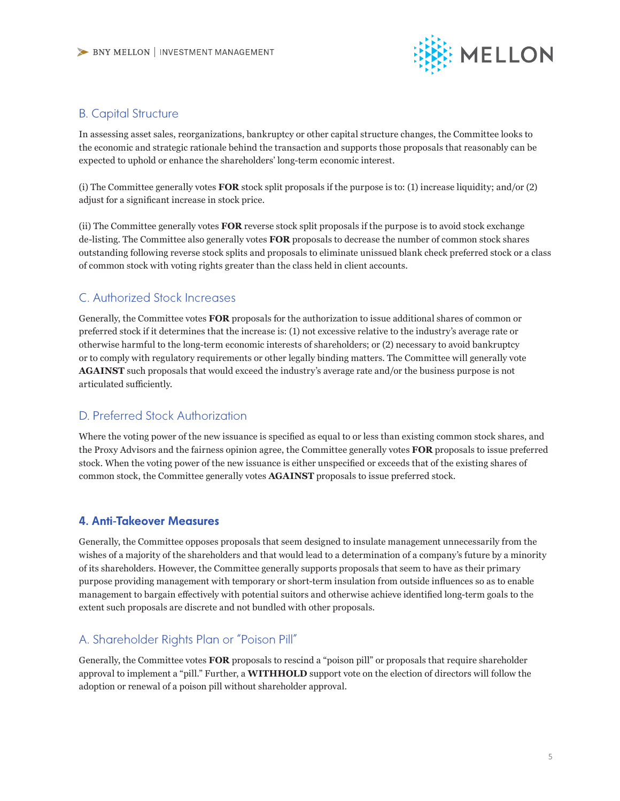

#### B. Capital Structure

In assessing asset sales, reorganizations, bankruptcy or other capital structure changes, the Committee looks to the economic and strategic rationale behind the transaction and supports those proposals that reasonably can be expected to uphold or enhance the shareholders' long-term economic interest.

(i) The Committee generally votes **FOR** stock split proposals if the purpose is to: (1) increase liquidity; and/or (2) adjust for a significant increase in stock price.

(ii) The Committee generally votes **FOR** reverse stock split proposals if the purpose is to avoid stock exchange de-listing. The Committee also generally votes **FOR** proposals to decrease the number of common stock shares outstanding following reverse stock splits and proposals to eliminate unissued blank check preferred stock or a class of common stock with voting rights greater than the class held in client accounts.

## C. Authorized Stock Increases

Generally, the Committee votes **FOR** proposals for the authorization to issue additional shares of common or preferred stock if it determines that the increase is: (1) not excessive relative to the industry's average rate or otherwise harmful to the long-term economic interests of shareholders; or (2) necessary to avoid bankruptcy or to comply with regulatory requirements or other legally binding matters. The Committee will generally vote **AGAINST** such proposals that would exceed the industry's average rate and/or the business purpose is not articulated sufficiently.

#### D. Preferred Stock Authorization

Where the voting power of the new issuance is specified as equal to or less than existing common stock shares, and the Proxy Advisors and the fairness opinion agree, the Committee generally votes **FOR** proposals to issue preferred stock. When the voting power of the new issuance is either unspecified or exceeds that of the existing shares of common stock, the Committee generally votes **AGAINST** proposals to issue preferred stock.

#### 4. Anti-Takeover Measures

Generally, the Committee opposes proposals that seem designed to insulate management unnecessarily from the wishes of a majority of the shareholders and that would lead to a determination of a company's future by a minority of its shareholders. However, the Committee generally supports proposals that seem to have as their primary purpose providing management with temporary or short-term insulation from outside influences so as to enable management to bargain effectively with potential suitors and otherwise achieve identified long-term goals to the extent such proposals are discrete and not bundled with other proposals.

## A. Shareholder Rights Plan or "Poison Pill"

Generally, the Committee votes **FOR** proposals to rescind a "poison pill" or proposals that require shareholder approval to implement a "pill." Further, a **WITHHOLD** support vote on the election of directors will follow the adoption or renewal of a poison pill without shareholder approval.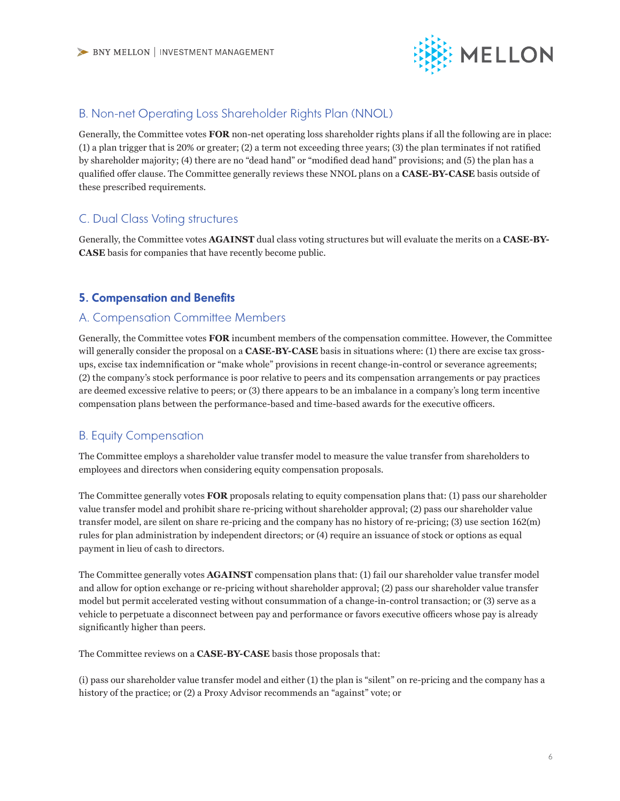

#### B. Non-net Operating Loss Shareholder Rights Plan (NNOL)

Generally, the Committee votes **FOR** non-net operating loss shareholder rights plans if all the following are in place: (1) a plan trigger that is 20% or greater; (2) a term not exceeding three years; (3) the plan terminates if not ratified by shareholder majority; (4) there are no "dead hand" or "modified dead hand" provisions; and (5) the plan has a qualified offer clause. The Committee generally reviews these NNOL plans on a **CASE-BY-CASE** basis outside of these prescribed requirements.

#### C. Dual Class Voting structures

Generally, the Committee votes **AGAINST** dual class voting structures but will evaluate the merits on a **CASE-BY-CASE** basis for companies that have recently become public.

#### 5. Compensation and Benefits

#### A. Compensation Committee Members

Generally, the Committee votes **FOR** incumbent members of the compensation committee. However, the Committee will generally consider the proposal on a **CASE-BY-CASE** basis in situations where: (1) there are excise tax grossups, excise tax indemnification or "make whole" provisions in recent change-in-control or severance agreements; (2) the company's stock performance is poor relative to peers and its compensation arrangements or pay practices are deemed excessive relative to peers; or (3) there appears to be an imbalance in a company's long term incentive compensation plans between the performance-based and time-based awards for the executive officers.

#### B. Equity Compensation

The Committee employs a shareholder value transfer model to measure the value transfer from shareholders to employees and directors when considering equity compensation proposals.

The Committee generally votes **FOR** proposals relating to equity compensation plans that: (1) pass our shareholder value transfer model and prohibit share re-pricing without shareholder approval; (2) pass our shareholder value transfer model, are silent on share re-pricing and the company has no history of re-pricing; (3) use section 162(m) rules for plan administration by independent directors; or (4) require an issuance of stock or options as equal payment in lieu of cash to directors.

The Committee generally votes **AGAINST** compensation plans that: (1) fail our shareholder value transfer model and allow for option exchange or re-pricing without shareholder approval; (2) pass our shareholder value transfer model but permit accelerated vesting without consummation of a change-in-control transaction; or (3) serve as a vehicle to perpetuate a disconnect between pay and performance or favors executive officers whose pay is already significantly higher than peers.

The Committee reviews on a **CASE-BY-CASE** basis those proposals that:

(i) pass our shareholder value transfer model and either (1) the plan is "silent" on re-pricing and the company has a history of the practice; or (2) a Proxy Advisor recommends an "against" vote; or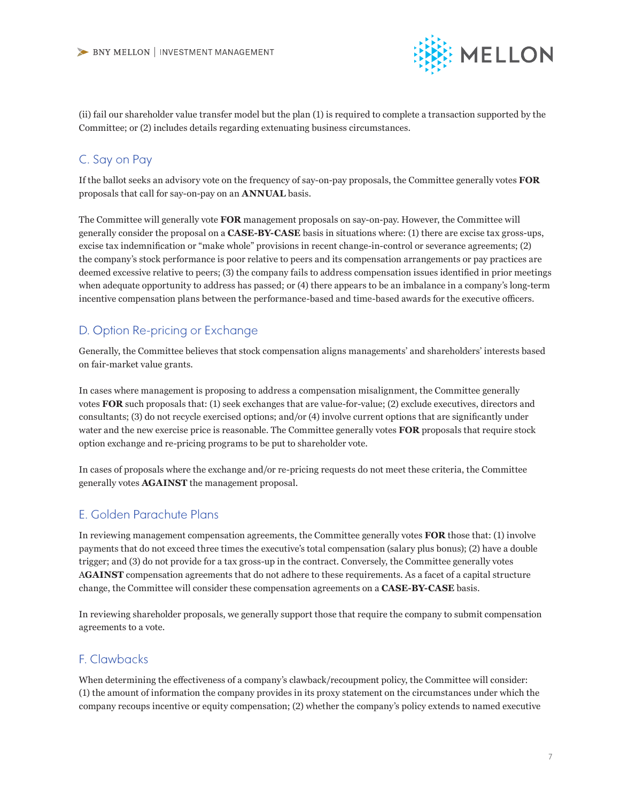

(ii) fail our shareholder value transfer model but the plan (1) is required to complete a transaction supported by the Committee; or (2) includes details regarding extenuating business circumstances.

### C. Say on Pay

If the ballot seeks an advisory vote on the frequency of say-on-pay proposals, the Committee generally votes **FOR** proposals that call for say-on-pay on an **ANNUAL** basis.

The Committee will generally vote **FOR** management proposals on say-on-pay. However, the Committee will generally consider the proposal on a **CASE-BY-CASE** basis in situations where: (1) there are excise tax gross-ups, excise tax indemnification or "make whole" provisions in recent change-in-control or severance agreements; (2) the company's stock performance is poor relative to peers and its compensation arrangements or pay practices are deemed excessive relative to peers; (3) the company fails to address compensation issues identified in prior meetings when adequate opportunity to address has passed; or (4) there appears to be an imbalance in a company's long-term incentive compensation plans between the performance-based and time-based awards for the executive officers.

## D. Option Re-pricing or Exchange

Generally, the Committee believes that stock compensation aligns managements' and shareholders' interests based on fair-market value grants.

In cases where management is proposing to address a compensation misalignment, the Committee generally votes **FOR** such proposals that: (1) seek exchanges that are value-for-value; (2) exclude executives, directors and consultants; (3) do not recycle exercised options; and/or (4) involve current options that are significantly under water and the new exercise price is reasonable. The Committee generally votes **FOR** proposals that require stock option exchange and re-pricing programs to be put to shareholder vote.

In cases of proposals where the exchange and/or re-pricing requests do not meet these criteria, the Committee generally votes **AGAINST** the management proposal.

#### E. Golden Parachute Plans

In reviewing management compensation agreements, the Committee generally votes **FOR** those that: (1) involve payments that do not exceed three times the executive's total compensation (salary plus bonus); (2) have a double trigger; and (3) do not provide for a tax gross-up in the contract. Conversely, the Committee generally votes A**GAINST** compensation agreements that do not adhere to these requirements. As a facet of a capital structure change, the Committee will consider these compensation agreements on a **CASE-BY-CASE** basis.

In reviewing shareholder proposals, we generally support those that require the company to submit compensation agreements to a vote.

## F. Clawbacks

When determining the effectiveness of a company's clawback/recoupment policy, the Committee will consider: (1) the amount of information the company provides in its proxy statement on the circumstances under which the company recoups incentive or equity compensation; (2) whether the company's policy extends to named executive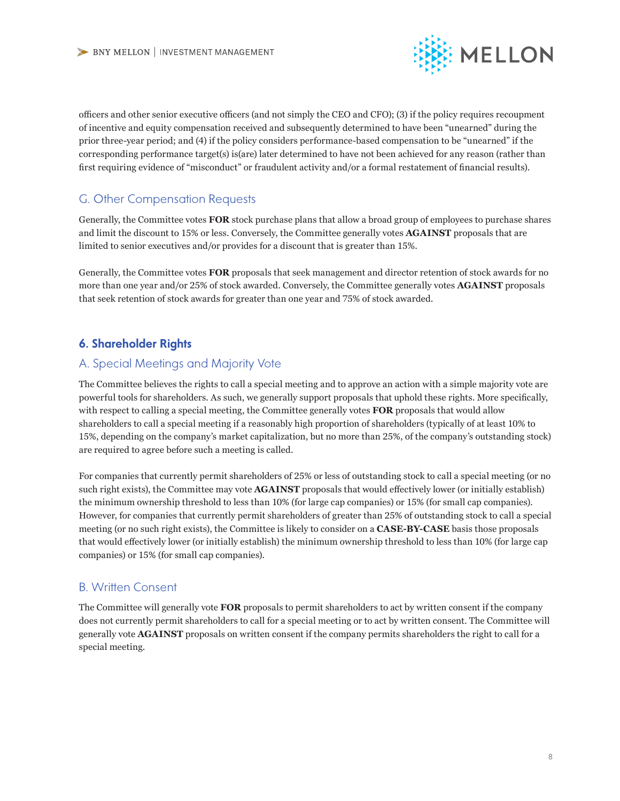

officers and other senior executive officers (and not simply the CEO and CFO); (3) if the policy requires recoupment of incentive and equity compensation received and subsequently determined to have been "unearned" during the prior three-year period; and (4) if the policy considers performance-based compensation to be "unearned" if the corresponding performance target(s) is(are) later determined to have not been achieved for any reason (rather than first requiring evidence of "misconduct" or fraudulent activity and/or a formal restatement of financial results).

## G. Other Compensation Requests

Generally, the Committee votes **FOR** stock purchase plans that allow a broad group of employees to purchase shares and limit the discount to 15% or less. Conversely, the Committee generally votes **AGAINST** proposals that are limited to senior executives and/or provides for a discount that is greater than 15%.

Generally, the Committee votes **FOR** proposals that seek management and director retention of stock awards for no more than one year and/or 25% of stock awarded. Conversely, the Committee generally votes **AGAINST** proposals that seek retention of stock awards for greater than one year and 75% of stock awarded.

## 6. Shareholder Rights

#### A. Special Meetings and Majority Vote

The Committee believes the rights to call a special meeting and to approve an action with a simple majority vote are powerful tools for shareholders. As such, we generally support proposals that uphold these rights. More specifically, with respect to calling a special meeting, the Committee generally votes **FOR** proposals that would allow shareholders to call a special meeting if a reasonably high proportion of shareholders (typically of at least 10% to 15%, depending on the company's market capitalization, but no more than 25%, of the company's outstanding stock) are required to agree before such a meeting is called.

For companies that currently permit shareholders of 25% or less of outstanding stock to call a special meeting (or no such right exists), the Committee may vote **AGAINST** proposals that would effectively lower (or initially establish) the minimum ownership threshold to less than 10% (for large cap companies) or 15% (for small cap companies). However, for companies that currently permit shareholders of greater than 25% of outstanding stock to call a special meeting (or no such right exists), the Committee is likely to consider on a **CASE-BY-CASE** basis those proposals that would effectively lower (or initially establish) the minimum ownership threshold to less than 10% (for large cap companies) or 15% (for small cap companies).

## B. Written Consent

The Committee will generally vote **FOR** proposals to permit shareholders to act by written consent if the company does not currently permit shareholders to call for a special meeting or to act by written consent. The Committee will generally vote **AGAINST** proposals on written consent if the company permits shareholders the right to call for a special meeting.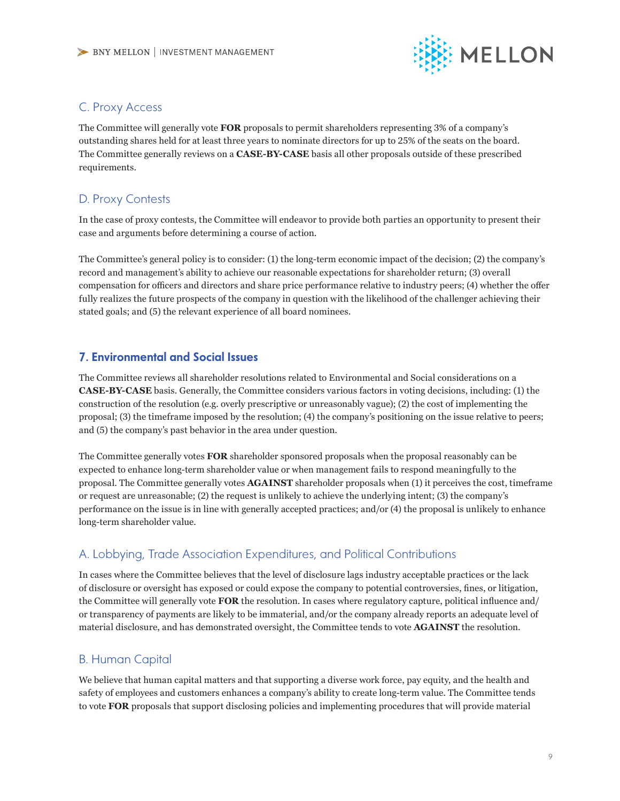

#### C. Proxy Access

The Committee will generally vote **FOR** proposals to permit shareholders representing 3% of a company's outstanding shares held for at least three years to nominate directors for up to 25% of the seats on the board. The Committee generally reviews on a **CASE-BY-CASE** basis all other proposals outside of these prescribed requirements.

## D. Proxy Contests

In the case of proxy contests, the Committee will endeavor to provide both parties an opportunity to present their case and arguments before determining a course of action.

The Committee's general policy is to consider: (1) the long-term economic impact of the decision; (2) the company's record and management's ability to achieve our reasonable expectations for shareholder return; (3) overall compensation for officers and directors and share price performance relative to industry peers; (4) whether the offer fully realizes the future prospects of the company in question with the likelihood of the challenger achieving their stated goals; and (5) the relevant experience of all board nominees.

#### 7. Environmental and Social Issues

The Committee reviews all shareholder resolutions related to Environmental and Social considerations on a **CASE-BY-CASE** basis. Generally, the Committee considers various factors in voting decisions, including: (1) the construction of the resolution (e.g. overly prescriptive or unreasonably vague); (2) the cost of implementing the proposal; (3) the timeframe imposed by the resolution; (4) the company's positioning on the issue relative to peers; and (5) the company's past behavior in the area under question.

The Committee generally votes **FOR** shareholder sponsored proposals when the proposal reasonably can be expected to enhance long-term shareholder value or when management fails to respond meaningfully to the proposal. The Committee generally votes **AGAINST** shareholder proposals when (1) it perceives the cost, timeframe or request are unreasonable; (2) the request is unlikely to achieve the underlying intent; (3) the company's performance on the issue is in line with generally accepted practices; and/or (4) the proposal is unlikely to enhance long-term shareholder value.

## A. Lobbying, Trade Association Expenditures, and Political Contributions

In cases where the Committee believes that the level of disclosure lags industry acceptable practices or the lack of disclosure or oversight has exposed or could expose the company to potential controversies, fines, or litigation, the Committee will generally vote **FOR** the resolution. In cases where regulatory capture, political influence and/ or transparency of payments are likely to be immaterial, and/or the company already reports an adequate level of material disclosure, and has demonstrated oversight, the Committee tends to vote **AGAINST** the resolution.

## B. Human Capital

We believe that human capital matters and that supporting a diverse work force, pay equity, and the health and safety of employees and customers enhances a company's ability to create long-term value. The Committee tends to vote **FOR** proposals that support disclosing policies and implementing procedures that will provide material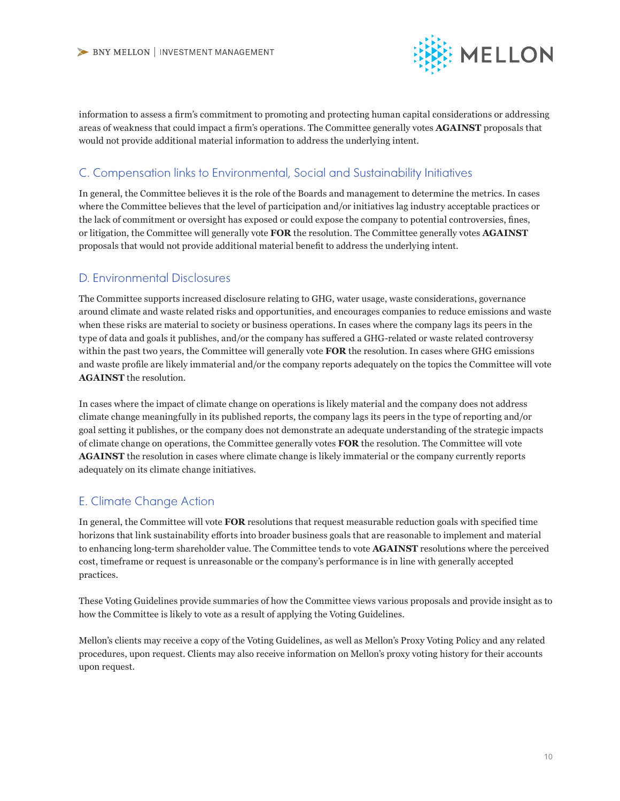

information to assess a firm's commitment to promoting and protecting human capital considerations or addressing areas of weakness that could impact a firm's operations. The Committee generally votes **AGAINST** proposals that would not provide additional material information to address the underlying intent.

### C. Compensation links to Environmental, Social and Sustainability Initiatives

In general, the Committee believes it is the role of the Boards and management to determine the metrics. In cases where the Committee believes that the level of participation and/or initiatives lag industry acceptable practices or the lack of commitment or oversight has exposed or could expose the company to potential controversies, fines, or litigation, the Committee will generally vote **FOR** the resolution. The Committee generally votes **AGAINST**  proposals that would not provide additional material benefit to address the underlying intent.

#### D. Environmental Disclosures

The Committee supports increased disclosure relating to GHG, water usage, waste considerations, governance around climate and waste related risks and opportunities, and encourages companies to reduce emissions and waste when these risks are material to society or business operations. In cases where the company lags its peers in the type of data and goals it publishes, and/or the company has suffered a GHG-related or waste related controversy within the past two years, the Committee will generally vote **FOR** the resolution. In cases where GHG emissions and waste profile are likely immaterial and/or the company reports adequately on the topics the Committee will vote **AGAINST** the resolution.

In cases where the impact of climate change on operations is likely material and the company does not address climate change meaningfully in its published reports, the company lags its peers in the type of reporting and/or goal setting it publishes, or the company does not demonstrate an adequate understanding of the strategic impacts of climate change on operations, the Committee generally votes **FOR** the resolution. The Committee will vote **AGAINST** the resolution in cases where climate change is likely immaterial or the company currently reports adequately on its climate change initiatives.

#### E. Climate Change Action

In general, the Committee will vote **FOR** resolutions that request measurable reduction goals with specified time horizons that link sustainability efforts into broader business goals that are reasonable to implement and material to enhancing long-term shareholder value. The Committee tends to vote **AGAINST** resolutions where the perceived cost, timeframe or request is unreasonable or the company's performance is in line with generally accepted practices.

These Voting Guidelines provide summaries of how the Committee views various proposals and provide insight as to how the Committee is likely to vote as a result of applying the Voting Guidelines.

Mellon's clients may receive a copy of the Voting Guidelines, as well as Mellon's Proxy Voting Policy and any related procedures, upon request. Clients may also receive information on Mellon's proxy voting history for their accounts upon request.